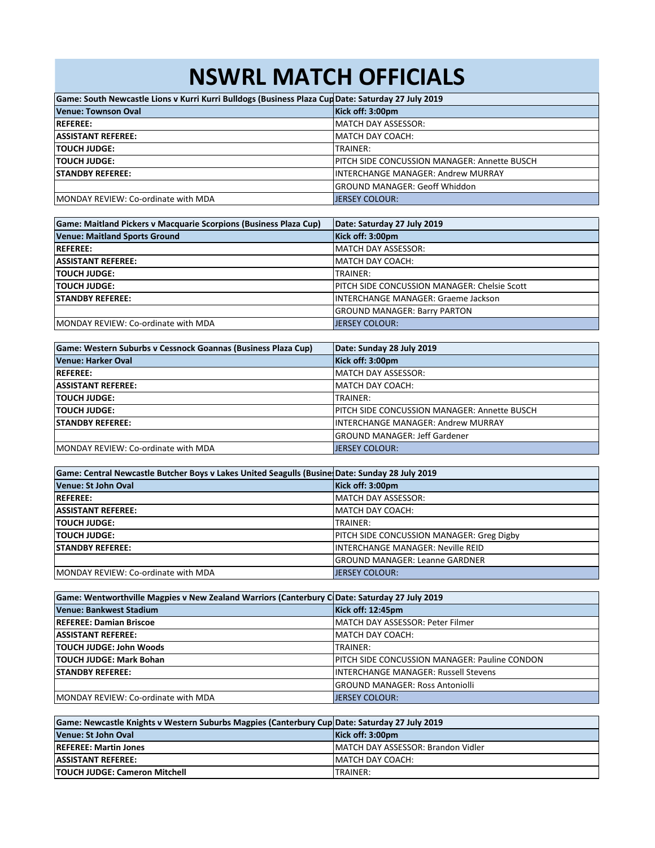## **NSWRL MATCH OFFICIALS**

| Game: South Newcastle Lions v Kurri Kurri Bulldogs (Business Plaza Cup Date: Saturday 27 July 2019 |                                              |
|----------------------------------------------------------------------------------------------------|----------------------------------------------|
| Venue: Townson Oval                                                                                | Kick off: 3:00pm                             |
| <b>REFEREE:</b>                                                                                    | <b>MATCH DAY ASSESSOR:</b>                   |
| <b>ASSISTANT REFEREE:</b>                                                                          | MATCH DAY COACH:                             |
| <b>TOUCH JUDGE:</b>                                                                                | TRAINER:                                     |
| <b>TOUCH JUDGE:</b>                                                                                | PITCH SIDE CONCUSSION MANAGER: Annette BUSCH |
| <b>ISTANDBY REFEREE:</b>                                                                           | <b>INTERCHANGE MANAGER: Andrew MURRAY</b>    |
|                                                                                                    | <b>GROUND MANAGER: Geoff Whiddon</b>         |
| <b>IMONDAY REVIEW: Co-ordinate with MDA</b>                                                        | <b>JERSEY COLOUR:</b>                        |

| Game: Maitland Pickers v Macquarie Scorpions (Business Plaza Cup) | Date: Saturday 27 July 2019                  |
|-------------------------------------------------------------------|----------------------------------------------|
| <b>Venue: Maitland Sports Ground</b>                              | Kick off: 3:00pm                             |
| <b>REFEREE:</b>                                                   | <b>MATCH DAY ASSESSOR:</b>                   |
| <b>ASSISTANT REFEREE:</b>                                         | <b>MATCH DAY COACH:</b>                      |
| <b>TOUCH JUDGE:</b>                                               | TRAINER:                                     |
| <b>TOUCH JUDGE:</b>                                               | PITCH SIDE CONCUSSION MANAGER: Chelsie Scott |
| <b>ISTANDBY REFEREE:</b>                                          | <b>INTERCHANGE MANAGER: Graeme Jackson</b>   |
|                                                                   | <b>GROUND MANAGER: Barry PARTON</b>          |
| <b>MONDAY REVIEW: Co-ordinate with MDA</b>                        | <b>JERSEY COLOUR:</b>                        |

| Game: Western Suburbs v Cessnock Goannas (Business Plaza Cup) | Date: Sunday 28 July 2019                    |
|---------------------------------------------------------------|----------------------------------------------|
| Venue: Harker Oval                                            | Kick off: 3:00pm                             |
| <b>REFEREE:</b>                                               | MATCH DAY ASSESSOR:                          |
| <b>ASSISTANT REFEREE:</b>                                     | MATCH DAY COACH:                             |
| <b>TOUCH JUDGE:</b>                                           | TRAINER:                                     |
| <b>TOUCH JUDGE:</b>                                           | PITCH SIDE CONCUSSION MANAGER: Annette BUSCH |
| <b>ISTANDBY REFEREE:</b>                                      | <b>INTERCHANGE MANAGER: Andrew MURRAY</b>    |
|                                                               | <b>GROUND MANAGER: Jeff Gardener</b>         |
| MONDAY REVIEW: Co-ordinate with MDA                           | LIERSEY COLOUR:                              |

| Game: Central Newcastle Butcher Boys v Lakes United Seagulls (Busine: Date: Sunday 28 July 2019 |                                                  |
|-------------------------------------------------------------------------------------------------|--------------------------------------------------|
| Venue: St John Oval                                                                             | Kick off: 3:00pm                                 |
| <b>REFEREE:</b>                                                                                 | <b>IMATCH DAY ASSESSOR:</b>                      |
| <b>ASSISTANT REFEREE:</b>                                                                       | MATCH DAY COACH:                                 |
| <b>TOUCH JUDGE:</b>                                                                             | TRAINER:                                         |
| <b>TOUCH JUDGE:</b>                                                                             | <b>PITCH SIDE CONCUSSION MANAGER: Greg Digby</b> |
| <b>STANDBY REFEREE:</b>                                                                         | INTERCHANGE MANAGER: Neville REID                |
|                                                                                                 | <b>GROUND MANAGER: Leanne GARDNER</b>            |
| MONDAY REVIEW: Co-ordinate with MDA                                                             | IJERSEY COLOUR:                                  |

| Game: Wentworthville Magpies v New Zealand Warriors (Canterbury C Date: Saturday 27 July 2019 |                                               |
|-----------------------------------------------------------------------------------------------|-----------------------------------------------|
| Venue: Bankwest Stadium                                                                       | Kick off: 12:45pm                             |
| <b>REFEREE: Damian Briscoe</b>                                                                | MATCH DAY ASSESSOR: Peter Filmer              |
| <b>ASSISTANT REFEREE:</b>                                                                     | IMATCH DAY COACH:                             |
| <b>TOUCH JUDGE: John Woods</b>                                                                | TRAINER:                                      |
| <b>TOUCH JUDGE: Mark Bohan</b>                                                                | PITCH SIDE CONCUSSION MANAGER: Pauline CONDON |
| <b>ISTANDBY REFEREE:</b>                                                                      | INTERCHANGE MANAGER: Russell Stevens          |
|                                                                                               | <b>GROUND MANAGER: Ross Antoniolli</b>        |
| MONDAY REVIEW: Co-ordinate with MDA                                                           | <b>JERSEY COLOUR:</b>                         |

| Game: Newcastle Knights v Western Suburbs Magpies (Canterbury Cup Date: Saturday 27 July 2019 |                                            |
|-----------------------------------------------------------------------------------------------|--------------------------------------------|
| Venue: St John Oval                                                                           | Kick off: 3:00pm                           |
| <b>REFEREE: Martin Jones</b>                                                                  | <b>IMATCH DAY ASSESSOR: Brandon Vidler</b> |
| <b>ASSISTANT REFEREE:</b>                                                                     | IMATCH DAY COACH:                          |
| <b>TOUCH JUDGE: Cameron Mitchell</b>                                                          | <b>ITRAINER:</b>                           |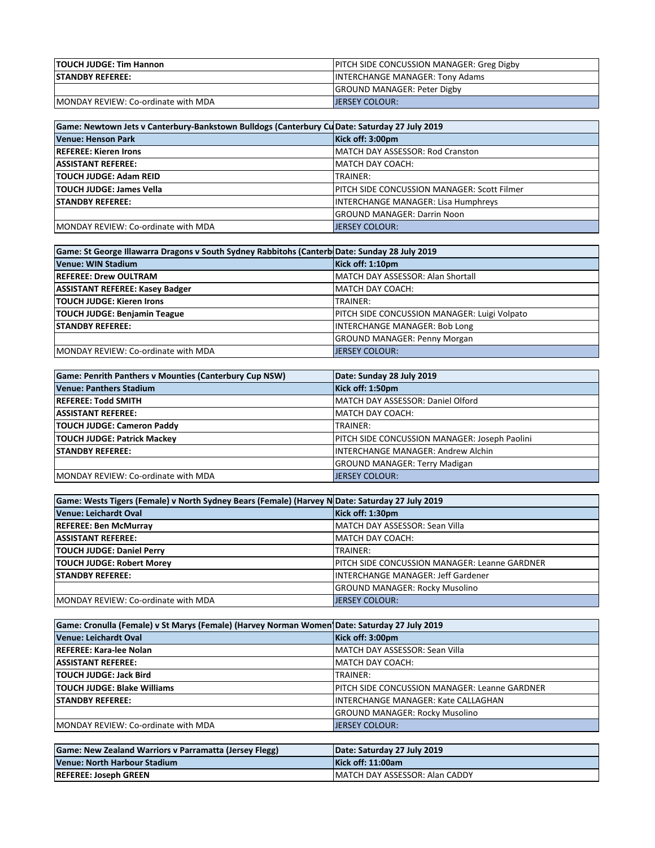| <b>TOUCH JUDGE: Tim Hannon</b>              | <b>PITCH SIDE CONCUSSION MANAGER: Greg Digby</b> |
|---------------------------------------------|--------------------------------------------------|
| <b>ISTANDBY REFEREE:</b>                    | IINTERCHANGE MANAGER: Tony Adams                 |
|                                             | <b>GROUND MANAGER: Peter Digby</b>               |
| <b>IMONDAY REVIEW: Co-ordinate with MDA</b> | LIERSEY COLOUR:                                  |

| Game: Newtown Jets v Canterbury-Bankstown Bulldogs (Canterbury Cu Date: Saturday 27 July 2019 |                                             |
|-----------------------------------------------------------------------------------------------|---------------------------------------------|
| Venue: Henson Park                                                                            | Kick off: 3:00pm                            |
| <b>IREFEREE: Kieren Irons</b>                                                                 | MATCH DAY ASSESSOR: Rod Cranston            |
| <b>ASSISTANT REFEREE:</b>                                                                     | MATCH DAY COACH:                            |
| <b>TOUCH JUDGE: Adam REID</b>                                                                 | TRAINER:                                    |
| <b>TOUCH JUDGE: James Vella</b>                                                               | PITCH SIDE CONCUSSION MANAGER: Scott Filmer |
| <b>ISTANDBY REFEREE:</b>                                                                      | <b>INTERCHANGE MANAGER: Lisa Humphreys</b>  |
|                                                                                               | <b>GROUND MANAGER: Darrin Noon</b>          |
| MONDAY REVIEW: Co-ordinate with MDA                                                           | <b>JERSEY COLOUR:</b>                       |

| Game: St George Illawarra Dragons v South Sydney Rabbitohs (Canterb Date: Sunday 28 July 2019 |                                              |
|-----------------------------------------------------------------------------------------------|----------------------------------------------|
| Venue: WIN Stadium                                                                            | Kick off: 1:10pm                             |
| <b>REFEREE: Drew OULTRAM</b>                                                                  | MATCH DAY ASSESSOR: Alan Shortall            |
| <b>ASSISTANT REFEREE: Kasey Badger</b>                                                        | IMATCH DAY COACH:                            |
| <b>TOUCH JUDGE: Kieren Irons</b>                                                              | TRAINER:                                     |
| <b>TOUCH JUDGE: Benjamin Teague</b>                                                           | PITCH SIDE CONCUSSION MANAGER: Luigi Volpato |
| <b>STANDBY REFEREE:</b>                                                                       | INTERCHANGE MANAGER: Bob Long                |
|                                                                                               | <b>GROUND MANAGER: Penny Morgan</b>          |
| <b>IMONDAY REVIEW: Co-ordinate with MDA</b>                                                   | <b>JERSEY COLOUR:</b>                        |

| Game: Penrith Panthers v Mounties (Canterbury Cup NSW) | Date: Sunday 28 July 2019                     |
|--------------------------------------------------------|-----------------------------------------------|
| Venue: Panthers Stadium                                | Kick off: 1:50pm                              |
| <b>REFEREE: Todd SMITH</b>                             | MATCH DAY ASSESSOR: Daniel Olford             |
| <b>ASSISTANT REFEREE:</b>                              | <b>MATCH DAY COACH:</b>                       |
| <b>TOUCH JUDGE: Cameron Paddy</b>                      | TRAINER:                                      |
| <b>TOUCH JUDGE: Patrick Mackey</b>                     | PITCH SIDE CONCUSSION MANAGER: Joseph Paolini |
| <b>ISTANDBY REFEREE:</b>                               | INTERCHANGE MANAGER: Andrew Alchin            |
|                                                        | <b>GROUND MANAGER: Terry Madigan</b>          |
| <b>IMONDAY REVIEW: Co-ordinate with MDA</b>            | <b>JERSEY COLOUR:</b>                         |

| Game: Wests Tigers (Female) v North Sydney Bears (Female) (Harvey N Date: Saturday 27 July 2019 |                                               |
|-------------------------------------------------------------------------------------------------|-----------------------------------------------|
| Venue: Leichardt Oval                                                                           | Kick off: 1:30pm                              |
| <b>REFEREE: Ben McMurray</b>                                                                    | MATCH DAY ASSESSOR: Sean Villa                |
| <b>ASSISTANT REFEREE:</b>                                                                       | MATCH DAY COACH:                              |
| <b>TOUCH JUDGE: Daniel Perry</b>                                                                | TRAINER:                                      |
| <b>TOUCH JUDGE: Robert Morey</b>                                                                | PITCH SIDE CONCUSSION MANAGER: Leanne GARDNER |
| <b>ISTANDBY REFEREE:</b>                                                                        | INTERCHANGE MANAGER: Jeff Gardener            |
|                                                                                                 | <b>GROUND MANAGER: Rocky Musolino</b>         |
| <b>IMONDAY REVIEW: Co-ordinate with MDA</b>                                                     | <b>JERSEY COLOUR:</b>                         |

| Game: Cronulla (Female) v St Marys (Female) (Harvey Norman Women Date: Saturday 27 July 2019 |                                               |
|----------------------------------------------------------------------------------------------|-----------------------------------------------|
| Venue: Leichardt Oval                                                                        | Kick off: 3:00pm                              |
| <b>REFEREE: Kara-lee Nolan</b>                                                               | MATCH DAY ASSESSOR: Sean Villa                |
| <b>ASSISTANT REFEREE:</b>                                                                    | MATCH DAY COACH:                              |
| <b>TOUCH JUDGE: Jack Bird</b>                                                                | TRAINER:                                      |
| <b>TOUCH JUDGE: Blake Williams</b>                                                           | PITCH SIDE CONCUSSION MANAGER: Leanne GARDNER |
| <b>STANDBY REFEREE:</b>                                                                      | INTERCHANGE MANAGER: Kate CALLAGHAN           |
|                                                                                              | <b>GROUND MANAGER: Rocky Musolino</b>         |
| MONDAY REVIEW: Co-ordinate with MDA                                                          | <b>JERSEY COLOUR:</b>                         |

| Game: New Zealand Warriors v Parramatta (Jersey Flegg) | Date: Saturday 27 July 2019    |
|--------------------------------------------------------|--------------------------------|
| Venue: North Harbour Stadium                           | $Rick$ off: 11:00am            |
| <b>REFEREE: Joseph GREEN</b>                           | MATCH DAY ASSESSOR: Alan CADDY |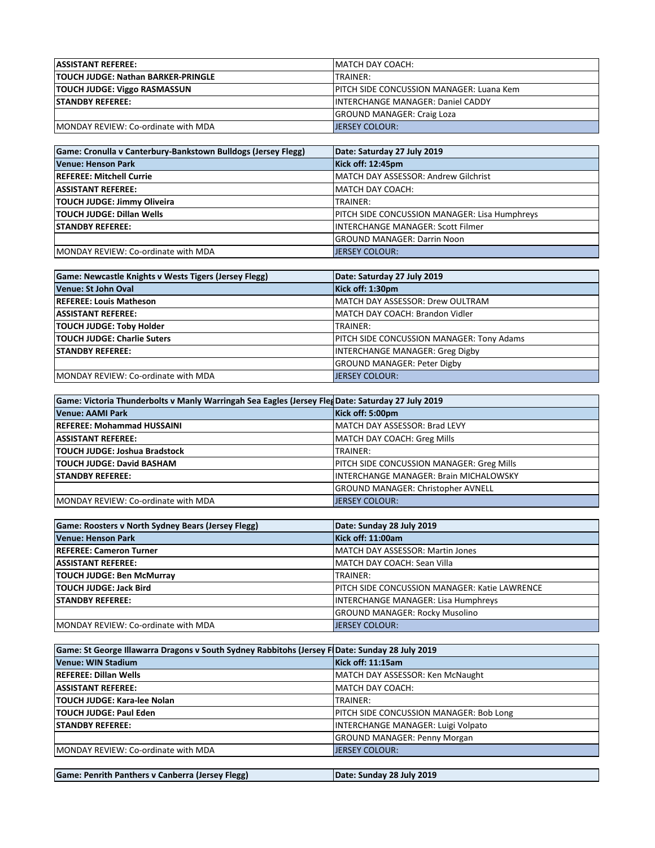| <b>ASSISTANT REFEREE:</b>                   | IMATCH DAY COACH:                         |
|---------------------------------------------|-------------------------------------------|
| <b>TOUCH JUDGE: Nathan BARKER-PRINGLE</b>   | TRAINER:                                  |
| <b>TOUCH JUDGE: Viggo RASMASSUN</b>         | IPITCH SIDE CONCUSSION MANAGER: Luana Kem |
| <b>ISTANDBY REFEREE:</b>                    | <b>IINTERCHANGE MANAGER: Daniel CADDY</b> |
|                                             | <b>GROUND MANAGER: Craig Loza</b>         |
| <b>IMONDAY REVIEW: Co-ordinate with MDA</b> | <b>JERSEY COLOUR:</b>                     |

| Game: Cronulla y Canterbury-Bankstown Bulldogs (Jersey Flegg) | Date: Saturday 27 July 2019                   |
|---------------------------------------------------------------|-----------------------------------------------|
| Venue: Henson Park                                            | Kick off: 12:45pm                             |
| <b>REFEREE: Mitchell Currie</b>                               | MATCH DAY ASSESSOR: Andrew Gilchrist          |
| <b>ASSISTANT REFEREE:</b>                                     | MATCH DAY COACH:                              |
| <b>TOUCH JUDGE: Jimmy Oliveira</b>                            | TRAINER:                                      |
| <b>TOUCH JUDGE: Dillan Wells</b>                              | PITCH SIDE CONCUSSION MANAGER: Lisa Humphreys |
| <b>ISTANDBY REFEREE:</b>                                      | <b>INTERCHANGE MANAGER: Scott Filmer</b>      |
|                                                               | <b>GROUND MANAGER: Darrin Noon</b>            |
| MONDAY REVIEW: Co-ordinate with MDA                           | <b>JERSEY COLOUR:</b>                         |

| Game: Newcastle Knights v Wests Tigers (Jersey Flegg) | Date: Saturday 27 July 2019               |
|-------------------------------------------------------|-------------------------------------------|
| Venue: St John Oval                                   | Kick off: 1:30pm                          |
| <b>REFEREE: Louis Matheson</b>                        | MATCH DAY ASSESSOR: Drew OULTRAM          |
| <b>ASSISTANT REFEREE:</b>                             | MATCH DAY COACH: Brandon Vidler           |
| <b>TOUCH JUDGE: Toby Holder</b>                       | TRAINER:                                  |
| <b>TOUCH JUDGE: Charlie Suters</b>                    | PITCH SIDE CONCUSSION MANAGER: Tony Adams |
| <b>ISTANDBY REFEREE:</b>                              | <b>INTERCHANGE MANAGER: Greg Digby</b>    |
|                                                       | <b>GROUND MANAGER: Peter Digby</b>        |
| <b>IMONDAY REVIEW: Co-ordinate with MDA</b>           | <b>JERSEY COLOUR:</b>                     |

| Game: Victoria Thunderbolts v Manly Warringah Sea Eagles (Jersey Fleg Date: Saturday 27 July 2019 |                                               |
|---------------------------------------------------------------------------------------------------|-----------------------------------------------|
| <b>Venue: AAMI Park</b>                                                                           | Kick off: 5:00pm                              |
| <b>REFEREE: Mohammad HUSSAINI</b>                                                                 | MATCH DAY ASSESSOR: Brad LEVY                 |
| <b>ASSISTANT REFEREE:</b>                                                                         | MATCH DAY COACH: Greg Mills                   |
| <b>TOUCH JUDGE: Joshua Bradstock</b>                                                              | TRAINER:                                      |
| <b>TOUCH JUDGE: David BASHAM</b>                                                                  | PITCH SIDE CONCUSSION MANAGER: Greg Mills     |
| <b>ISTANDBY REFEREE:</b>                                                                          | <b>INTERCHANGE MANAGER: Brain MICHALOWSKY</b> |
|                                                                                                   | <b>GROUND MANAGER: Christopher AVNELL</b>     |
| <b>IMONDAY REVIEW: Co-ordinate with MDA</b>                                                       | <b>JERSEY COLOUR:</b>                         |

| Game: Roosters v North Sydney Bears (Jersey Flegg) | Date: Sunday 28 July 2019                     |
|----------------------------------------------------|-----------------------------------------------|
| Venue: Henson Park                                 | Kick off: 11:00am                             |
| <b>REFEREE: Cameron Turner</b>                     | <b>MATCH DAY ASSESSOR: Martin Jones</b>       |
| <b>ASSISTANT REFEREE:</b>                          | MATCH DAY COACH: Sean Villa                   |
| <b>TOUCH JUDGE: Ben McMurray</b>                   | TRAINER:                                      |
| <b>TOUCH JUDGE: Jack Bird</b>                      | PITCH SIDE CONCUSSION MANAGER: Katie LAWRENCE |
| <b>ISTANDBY REFEREE:</b>                           | <b>INTERCHANGE MANAGER: Lisa Humphreys</b>    |
|                                                    | <b>GROUND MANAGER: Rocky Musolino</b>         |
| MONDAY REVIEW: Co-ordinate with MDA                | <b>JERSEY COLOUR:</b>                         |

| Game: St George Illawarra Dragons v South Sydney Rabbitohs (Jersey F Date: Sunday 28 July 2019 |                                           |
|------------------------------------------------------------------------------------------------|-------------------------------------------|
| Venue: WIN Stadium                                                                             | Kick off: 11:15am                         |
| <b>REFEREE: Dillan Wells</b>                                                                   | MATCH DAY ASSESSOR: Ken McNaught          |
| <b>ASSISTANT REFEREE:</b>                                                                      | <b>MATCH DAY COACH:</b>                   |
| TOUCH JUDGE: Kara-lee Nolan                                                                    | TRAINER:                                  |
| <b>TOUCH JUDGE: Paul Eden</b>                                                                  | PITCH SIDE CONCUSSION MANAGER: Bob Long   |
| <b>ISTANDBY REFEREE:</b>                                                                       | <b>INTERCHANGE MANAGER: Luigi Volpato</b> |
|                                                                                                | <b>GROUND MANAGER: Penny Morgan</b>       |
| <b>IMONDAY REVIEW: Co-ordinate with MDA</b>                                                    | <b>JERSEY COLOUR:</b>                     |
|                                                                                                |                                           |

| Game: Penrith Panthers v Canberra (Jersey Flegg) | Date: Sunday 28 July 2019 |
|--------------------------------------------------|---------------------------|
|                                                  |                           |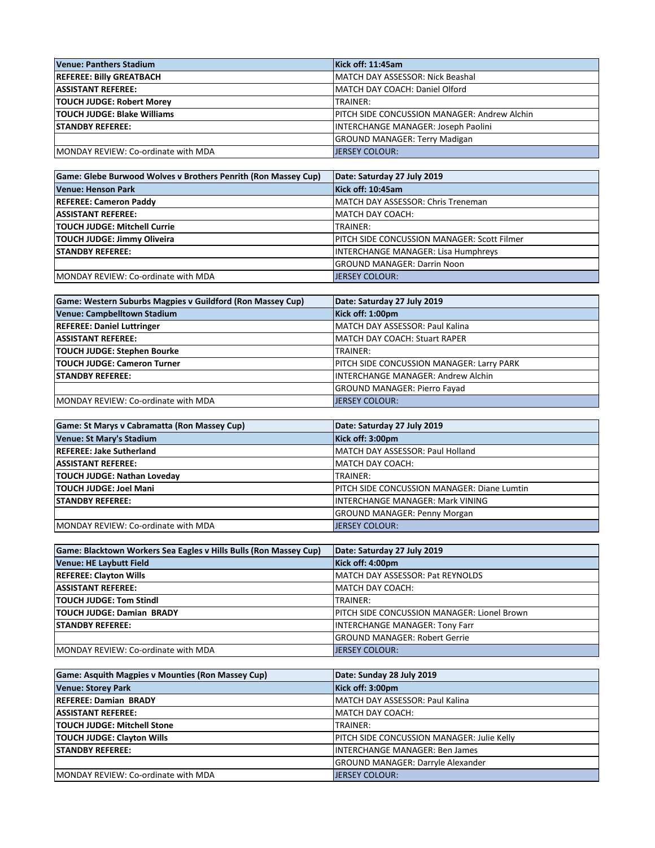| Venue: Panthers Stadium             | Kick off: 11:45am                            |
|-------------------------------------|----------------------------------------------|
| <b>REFEREE: Billy GREATBACH</b>     | MATCH DAY ASSESSOR: Nick Beashal             |
| <b>ASSISTANT REFEREE:</b>           | MATCH DAY COACH: Daniel Olford               |
| <b>TOUCH JUDGE: Robert Morey</b>    | TRAINER:                                     |
| <b>TOUCH JUDGE: Blake Williams</b>  | PITCH SIDE CONCUSSION MANAGER: Andrew Alchin |
| <b>ISTANDBY REFEREE:</b>            | INTERCHANGE MANAGER: Joseph Paolini          |
|                                     | <b>GROUND MANAGER: Terry Madigan</b>         |
| MONDAY REVIEW: Co-ordinate with MDA | <b>JERSEY COLOUR:</b>                        |

| Game: Glebe Burwood Wolves v Brothers Penrith (Ron Massey Cup) | Date: Saturday 27 July 2019                 |
|----------------------------------------------------------------|---------------------------------------------|
| <b>Venue: Henson Park</b>                                      | Kick off: 10:45am                           |
| <b>REFEREE: Cameron Paddy</b>                                  | MATCH DAY ASSESSOR: Chris Treneman          |
| <b>ASSISTANT REFEREE:</b>                                      | MATCH DAY COACH:                            |
| TOUCH JUDGE: Mitchell Currie                                   | TRAINER:                                    |
| <b>TOUCH JUDGE: Jimmy Oliveira</b>                             | PITCH SIDE CONCUSSION MANAGER: Scott Filmer |
| <b>STANDBY REFEREE:</b>                                        | <b>INTERCHANGE MANAGER: Lisa Humphreys</b>  |
|                                                                | <b>GROUND MANAGER: Darrin Noon</b>          |
| MONDAY REVIEW: Co-ordinate with MDA                            | <b>JERSEY COLOUR:</b>                       |

| Game: Western Suburbs Magpies v Guildford (Ron Massey Cup) | Date: Saturday 27 July 2019               |
|------------------------------------------------------------|-------------------------------------------|
| Venue: Campbelltown Stadium                                | Kick off: 1:00pm                          |
| <b>REFEREE: Daniel Luttringer</b>                          | MATCH DAY ASSESSOR: Paul Kalina           |
| <b>ASSISTANT REFEREE:</b>                                  | <b>MATCH DAY COACH: Stuart RAPER</b>      |
| <b>TOUCH JUDGE: Stephen Bourke</b>                         | TRAINER:                                  |
| <b>TOUCH JUDGE: Cameron Turner</b>                         | PITCH SIDE CONCUSSION MANAGER: Larry PARK |
| <b>ISTANDBY REFEREE:</b>                                   | <b>INTERCHANGE MANAGER: Andrew Alchin</b> |
|                                                            | GROUND MANAGER: Pierro Fayad              |
| <b>IMONDAY REVIEW: Co-ordinate with MDA</b>                | <b>JERSEY COLOUR:</b>                     |

| Game: St Marys v Cabramatta (Ron Massey Cup) | Date: Saturday 27 July 2019                 |
|----------------------------------------------|---------------------------------------------|
| Venue: St Mary's Stadium                     | Kick off: 3:00pm                            |
| <b>REFEREE: Jake Sutherland</b>              | MATCH DAY ASSESSOR: Paul Holland            |
| <b>ASSISTANT REFEREE:</b>                    | IMATCH DAY COACH:                           |
| <b>TOUCH JUDGE: Nathan Loveday</b>           | TRAINER:                                    |
| <b>TOUCH JUDGE: Joel Mani</b>                | PITCH SIDE CONCUSSION MANAGER: Diane Lumtin |
| <b>ISTANDBY REFEREE:</b>                     | INTERCHANGE MANAGER: Mark VINING            |
|                                              | <b>GROUND MANAGER: Penny Morgan</b>         |
| MONDAY REVIEW: Co-ordinate with MDA          | <b>JERSEY COLOUR:</b>                       |

| Game: Blacktown Workers Sea Eagles v Hills Bulls (Ron Massey Cup) | Date: Saturday 27 July 2019                 |
|-------------------------------------------------------------------|---------------------------------------------|
| <b>Venue: HE Laybutt Field</b>                                    | Kick off: 4:00pm                            |
| <b>REFEREE: Clayton Wills</b>                                     | MATCH DAY ASSESSOR: Pat REYNOLDS            |
| <b>ASSISTANT REFEREE:</b>                                         | <b>MATCH DAY COACH:</b>                     |
| <b>TOUCH JUDGE: Tom Stindl</b>                                    | TRAINER:                                    |
| <b>TOUCH JUDGE: Damian BRADY</b>                                  | PITCH SIDE CONCUSSION MANAGER: Lionel Brown |
| <b>ISTANDBY REFEREE:</b>                                          | <b>INTERCHANGE MANAGER: Tony Farr</b>       |
|                                                                   | <b>GROUND MANAGER: Robert Gerrie</b>        |
| <b>IMONDAY REVIEW: Co-ordinate with MDA</b>                       | <b>JERSEY COLOUR:</b>                       |

| <b>Game: Asquith Magpies v Mounties (Ron Massey Cup)</b> | Date: Sunday 28 July 2019                  |
|----------------------------------------------------------|--------------------------------------------|
| <b>Venue: Storey Park</b>                                | Kick off: 3:00pm                           |
| <b>REFEREE: Damian BRADY</b>                             | MATCH DAY ASSESSOR: Paul Kalina            |
| <b>ASSISTANT REFEREE:</b>                                | IMATCH DAY COACH:                          |
| <b>TOUCH JUDGE: Mitchell Stone</b>                       | TRAINER:                                   |
| <b>TOUCH JUDGE: Clayton Wills</b>                        | PITCH SIDE CONCUSSION MANAGER: Julie Kelly |
| <b>STANDBY REFEREE:</b>                                  | <b>INTERCHANGE MANAGER: Ben James</b>      |
|                                                          | <b>GROUND MANAGER: Darryle Alexander</b>   |
| <b>MONDAY REVIEW: Co-ordinate with MDA</b>               | <b>JERSEY COLOUR:</b>                      |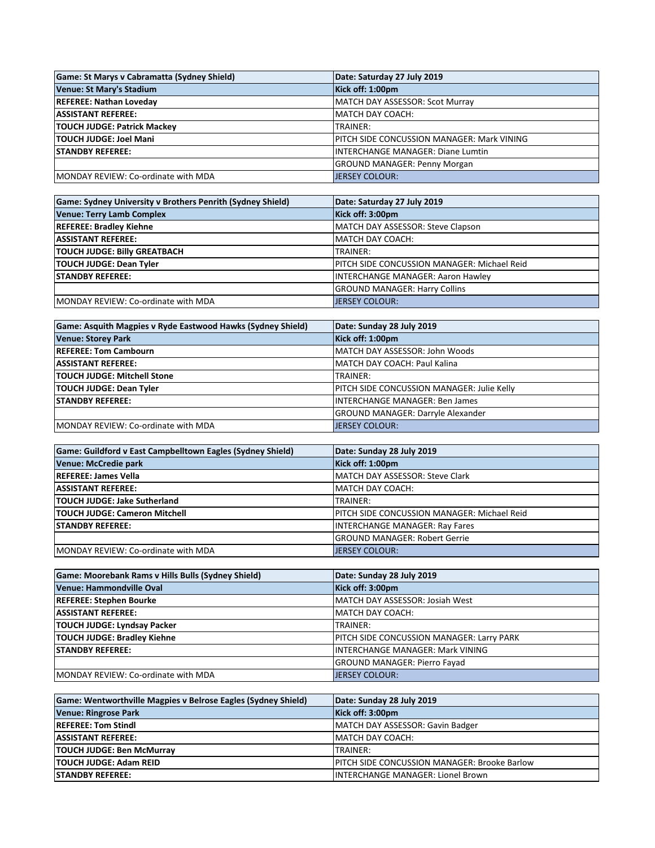| Game: St Marys y Cabramatta (Sydney Shield) | Date: Saturday 27 July 2019                        |
|---------------------------------------------|----------------------------------------------------|
| Venue: St Mary's Stadium                    | Kick off: 1:00pm                                   |
| <b>REFEREE: Nathan Loveday</b>              | MATCH DAY ASSESSOR: Scot Murray                    |
| <b>ASSISTANT REFEREE:</b>                   | IMATCH DAY COACH:                                  |
| <b>TOUCH JUDGE: Patrick Mackey</b>          | TRAINER:                                           |
| <b>TOUCH JUDGE: Joel Mani</b>               | <b>IPITCH SIDE CONCUSSION MANAGER: Mark VINING</b> |
| <b>STANDBY REFEREE:</b>                     | <b>INTERCHANGE MANAGER: Diane Lumtin</b>           |
|                                             | <b>GROUND MANAGER: Penny Morgan</b>                |
| MONDAY REVIEW: Co-ordinate with MDA         | <b>JERSEY COLOUR:</b>                              |

| Game: Sydney University v Brothers Penrith (Sydney Shield) | Date: Saturday 27 July 2019                 |
|------------------------------------------------------------|---------------------------------------------|
| <b>Venue: Terry Lamb Complex</b>                           | Kick off: 3:00pm                            |
| <b>REFEREE: Bradley Kiehne</b>                             | MATCH DAY ASSESSOR: Steve Clapson           |
| <b>ASSISTANT REFEREE:</b>                                  | IMATCH DAY COACH:                           |
| <b>TOUCH JUDGE: Billy GREATBACH</b>                        | TRAINER:                                    |
| <b>TOUCH JUDGE: Dean Tyler</b>                             | PITCH SIDE CONCUSSION MANAGER: Michael Reid |
| <b>ISTANDBY REFEREE:</b>                                   | INTERCHANGE MANAGER: Aaron Hawley           |
|                                                            | <b>GROUND MANAGER: Harry Collins</b>        |
| MONDAY REVIEW: Co-ordinate with MDA                        | <b>JERSEY COLOUR:</b>                       |

| Game: Asquith Magpies v Ryde Eastwood Hawks (Sydney Shield) | Date: Sunday 28 July 2019                  |
|-------------------------------------------------------------|--------------------------------------------|
| <b>Venue: Storey Park</b>                                   | Kick off: 1:00pm                           |
| <b>REFEREE: Tom Cambourn</b>                                | MATCH DAY ASSESSOR: John Woods             |
| <b>ASSISTANT REFEREE:</b>                                   | MATCH DAY COACH: Paul Kalina               |
| <b>TOUCH JUDGE: Mitchell Stone</b>                          | TRAINER:                                   |
| <b>TOUCH JUDGE: Dean Tyler</b>                              | PITCH SIDE CONCUSSION MANAGER: Julie Kelly |
| <b>STANDBY REFEREE:</b>                                     | <b>INTERCHANGE MANAGER: Ben James</b>      |
|                                                             | <b>GROUND MANAGER: Darryle Alexander</b>   |
| MONDAY REVIEW: Co-ordinate with MDA                         | <b>JERSEY COLOUR:</b>                      |

| Game: Guildford v East Campbelltown Eagles (Sydney Shield) | Date: Sunday 28 July 2019                   |
|------------------------------------------------------------|---------------------------------------------|
| Venue: McCredie park                                       | Kick off: 1:00pm                            |
| <b>REFEREE: James Vella</b>                                | MATCH DAY ASSESSOR: Steve Clark             |
| <b>ASSISTANT REFEREE:</b>                                  | MATCH DAY COACH:                            |
| <b>TOUCH JUDGE: Jake Sutherland</b>                        | TRAINER:                                    |
| <b>TOUCH JUDGE: Cameron Mitchell</b>                       | PITCH SIDE CONCUSSION MANAGER: Michael Reid |
| <b>ISTANDBY REFEREE:</b>                                   | INTERCHANGE MANAGER: Ray Fares              |
|                                                            | <b>GROUND MANAGER: Robert Gerrie</b>        |
| MONDAY REVIEW: Co-ordinate with MDA                        | <b>JERSEY COLOUR:</b>                       |

| <b>Game: Moorebank Rams v Hills Bulls (Sydney Shield)</b> | Date: Sunday 28 July 2019                 |
|-----------------------------------------------------------|-------------------------------------------|
| Venue: Hammondville Oval                                  | Kick off: 3:00pm                          |
| <b>REFEREE: Stephen Bourke</b>                            | MATCH DAY ASSESSOR: Josiah West           |
| <b>ASSISTANT REFEREE:</b>                                 | <b>MATCH DAY COACH:</b>                   |
| <b>TOUCH JUDGE: Lyndsay Packer</b>                        | TRAINER:                                  |
| <b>TOUCH JUDGE: Bradley Kiehne</b>                        | PITCH SIDE CONCUSSION MANAGER: Larry PARK |
| <b>ISTANDBY REFEREE:</b>                                  | <b>INTERCHANGE MANAGER: Mark VINING</b>   |
|                                                           | <b>GROUND MANAGER: Pierro Fayad</b>       |
| <b>IMONDAY REVIEW: Co-ordinate with MDA</b>               | <b>JERSEY COLOUR:</b>                     |

| Game: Wentworthville Magpies v Belrose Eagles (Sydney Shield) | Date: Sunday 28 July 2019                    |
|---------------------------------------------------------------|----------------------------------------------|
| <b>Venue: Ringrose Park</b>                                   | Kick off: 3:00pm                             |
| <b>REFEREE: Tom Stindl</b>                                    | MATCH DAY ASSESSOR: Gavin Badger             |
| <b>ASSISTANT REFEREE:</b>                                     | IMATCH DAY COACH:                            |
| <b>TOUCH JUDGE: Ben McMurrav</b>                              | <b>TRAINFR:</b>                              |
| <b>TOUCH JUDGE: Adam REID</b>                                 | PITCH SIDE CONCUSSION MANAGER: Brooke Barlow |
| <b>ISTANDBY REFEREE:</b>                                      | IINTERCHANGE MANAGER: Lionel Brown           |